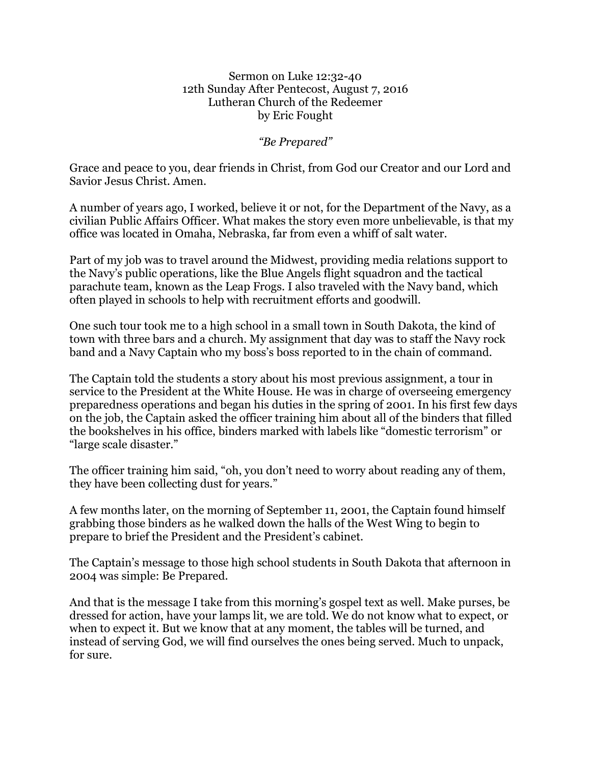## Sermon on Luke 12:32-40 12th Sunday After Pentecost, August 7, 2016 Lutheran Church of the Redeemer by Eric Fought

*"Be Prepared"*

Grace and peace to you, dear friends in Christ, from God our Creator and our Lord and Savior Jesus Christ. Amen.

A number of years ago, I worked, believe it or not, for the Department of the Navy, as a civilian Public Affairs Officer. What makes the story even more unbelievable, is that my office was located in Omaha, Nebraska, far from even a whiff of salt water.

Part of my job was to travel around the Midwest, providing media relations support to the Navy's public operations, like the Blue Angels flight squadron and the tactical parachute team, known as the Leap Frogs. I also traveled with the Navy band, which often played in schools to help with recruitment efforts and goodwill.

One such tour took me to a high school in a small town in South Dakota, the kind of town with three bars and a church. My assignment that day was to staff the Navy rock band and a Navy Captain who my boss's boss reported to in the chain of command.

The Captain told the students a story about his most previous assignment, a tour in service to the President at the White House. He was in charge of overseeing emergency preparedness operations and began his duties in the spring of 2001. In his first few days on the job, the Captain asked the officer training him about all of the binders that filled the bookshelves in his office, binders marked with labels like "domestic terrorism" or "large scale disaster."

The officer training him said, "oh, you don't need to worry about reading any of them, they have been collecting dust for years."

A few months later, on the morning of September 11, 2001, the Captain found himself grabbing those binders as he walked down the halls of the West Wing to begin to prepare to brief the President and the President's cabinet.

The Captain's message to those high school students in South Dakota that afternoon in 2004 was simple: Be Prepared.

And that is the message I take from this morning's gospel text as well. Make purses, be dressed for action, have your lamps lit, we are told. We do not know what to expect, or when to expect it. But we know that at any moment, the tables will be turned, and instead of serving God, we will find ourselves the ones being served. Much to unpack, for sure.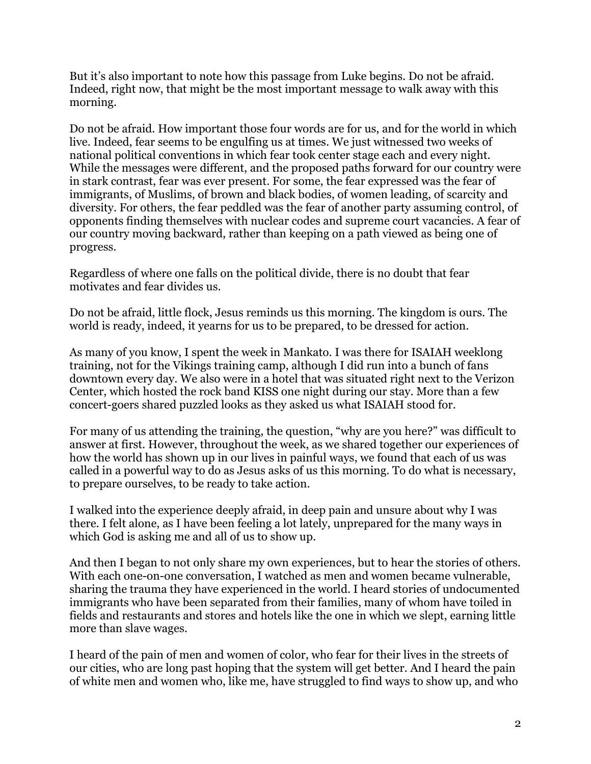But it's also important to note how this passage from Luke begins. Do not be afraid. Indeed, right now, that might be the most important message to walk away with this morning.

Do not be afraid. How important those four words are for us, and for the world in which live. Indeed, fear seems to be engulfing us at times. We just witnessed two weeks of national political conventions in which fear took center stage each and every night. While the messages were different, and the proposed paths forward for our country were in stark contrast, fear was ever present. For some, the fear expressed was the fear of immigrants, of Muslims, of brown and black bodies, of women leading, of scarcity and diversity. For others, the fear peddled was the fear of another party assuming control, of opponents finding themselves with nuclear codes and supreme court vacancies. A fear of our country moving backward, rather than keeping on a path viewed as being one of progress.

Regardless of where one falls on the political divide, there is no doubt that fear motivates and fear divides us.

Do not be afraid, little flock, Jesus reminds us this morning. The kingdom is ours. The world is ready, indeed, it yearns for us to be prepared, to be dressed for action.

As many of you know, I spent the week in Mankato. I was there for ISAIAH weeklong training, not for the Vikings training camp, although I did run into a bunch of fans downtown every day. We also were in a hotel that was situated right next to the Verizon Center, which hosted the rock band KISS one night during our stay. More than a few concert-goers shared puzzled looks as they asked us what ISAIAH stood for.

For many of us attending the training, the question, "why are you here?" was difficult to answer at first. However, throughout the week, as we shared together our experiences of how the world has shown up in our lives in painful ways, we found that each of us was called in a powerful way to do as Jesus asks of us this morning. To do what is necessary, to prepare ourselves, to be ready to take action.

I walked into the experience deeply afraid, in deep pain and unsure about why I was there. I felt alone, as I have been feeling a lot lately, unprepared for the many ways in which God is asking me and all of us to show up.

And then I began to not only share my own experiences, but to hear the stories of others. With each one-on-one conversation, I watched as men and women became vulnerable, sharing the trauma they have experienced in the world. I heard stories of undocumented immigrants who have been separated from their families, many of whom have toiled in fields and restaurants and stores and hotels like the one in which we slept, earning little more than slave wages.

I heard of the pain of men and women of color, who fear for their lives in the streets of our cities, who are long past hoping that the system will get better. And I heard the pain of white men and women who, like me, have struggled to find ways to show up, and who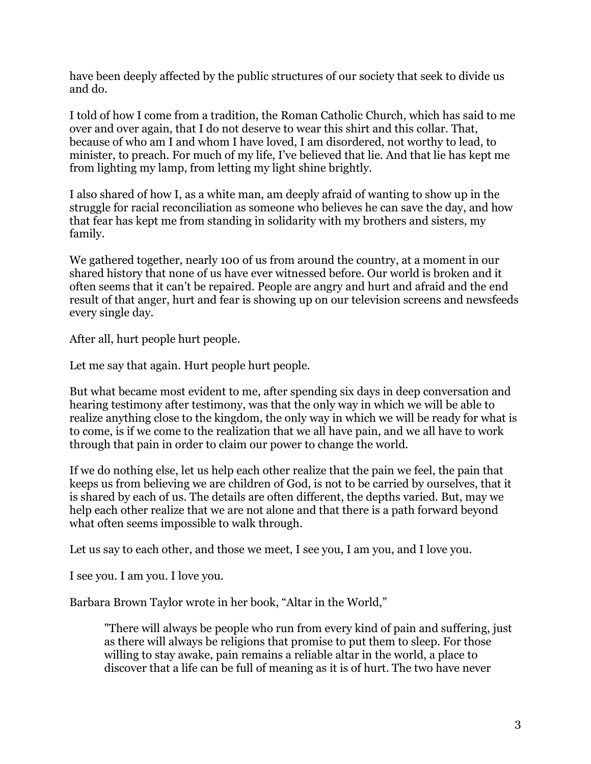have been deeply affected by the public structures of our society that seek to divide us and do.

I told of how I come from a tradition, the Roman Catholic Church, which has said to me over and over again, that I do not deserve to wear this shirt and this collar. That, because of who am I and whom I have loved, I am disordered, not worthy to lead, to minister, to preach. For much of my life, I've believed that lie. And that lie has kept me from lighting my lamp, from letting my light shine brightly.

I also shared of how I, as a white man, am deeply afraid of wanting to show up in the struggle for racial reconciliation as someone who believes he can save the day, and how that fear has kept me from standing in solidarity with my brothers and sisters, my family.

We gathered together, nearly 100 of us from around the country, at a moment in our shared history that none of us have ever witnessed before. Our world is broken and it often seems that it can't be repaired. People are angry and hurt and afraid and the end result of that anger, hurt and fear is showing up on our television screens and newsfeeds every single day.

After all, hurt people hurt people.

Let me say that again. Hurt people hurt people.

But what became most evident to me, after spending six days in deep conversation and hearing testimony after testimony, was that the only way in which we will be able to realize anything close to the kingdom, the only way in which we will be ready for what is to come, is if we come to the realization that we all have pain, and we all have to work through that pain in order to claim our power to change the world.

If we do nothing else, let us help each other realize that the pain we feel, the pain that keeps us from believing we are children of God, is not to be carried by ourselves, that it is shared by each of us. The details are often different, the depths varied. But, may we help each other realize that we are not alone and that there is a path forward beyond what often seems impossible to walk through.

Let us say to each other, and those we meet, I see you, I am you, and I love you.

I see you. I am you. I love you.

Barbara Brown Taylor wrote in her book, "Altar in the World,"

"There will always be people who run from every kind of pain and suffering, just as there will always be religions that promise to put them to sleep. For those willing to stay awake, pain remains a reliable altar in the world, a place to discover that a life can be full of meaning as it is of hurt. The two have never